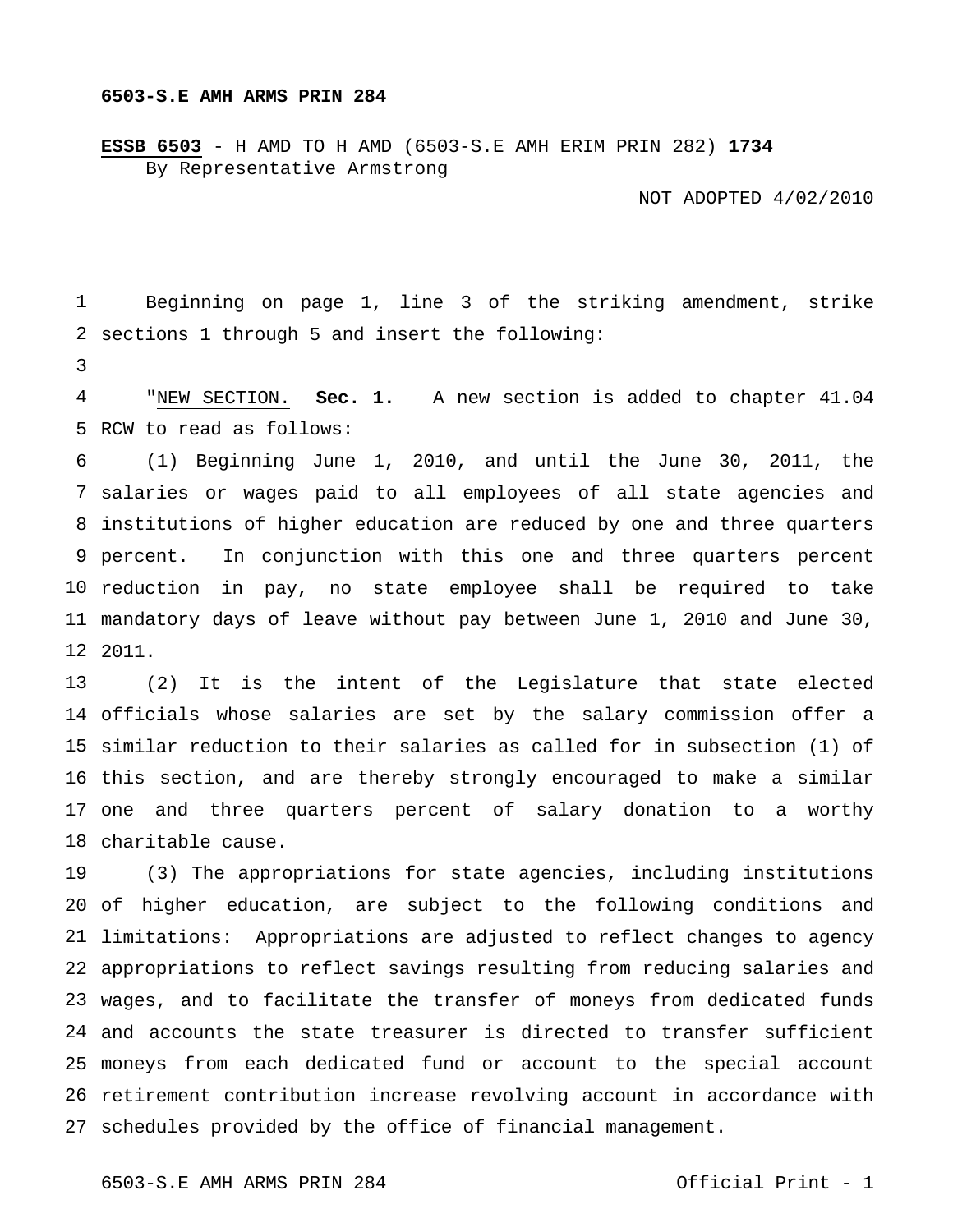## **6503-S.E AMH ARMS PRIN 284**

**ESSB 6503** - H AMD TO H AMD (6503-S.E AMH ERIM PRIN 282) **1734** By Representative Armstrong

NOT ADOPTED 4/02/2010

 sections 1 through 5 and insert the following: Beginning on page 1, line 3 of the striking amendment, strike

 RCW to read as follows: "NEW SECTION. **Sec. 1.** A new section is added to chapter 41.04

 salaries or wages paid to all employees of all state agencies and institutions of higher education are reduced by one and three quarters 9 percent. reduction in pay, no state employee shall be required to take mandatory days of leave without pay between June 1, 2010 and June 30, 2011. (1) Beginning June 1, 2010, and until the June 30, 2011, the In conjunction with this one and three quarters percent

 officials whose salaries are set by the salary commission offer a similar reduction to their salaries as called for in subsection (1) of this section, and are thereby strongly encouraged to make a similar one and three quarters percent of salary donation to a worthy charitable cause. (2) It is the intent of the Legislature that state elected

 of higher education, are subject to the following conditions and limitations: Appropriations are adjusted to reflect changes to agency appropriations to reflect savings resulting from reducing salaries and wages, and to facilitate the transfer of moneys from dedicated funds and accounts the state treasurer is directed to transfer sufficient moneys from each dedicated fund or account to the special account retirement contribution increase revolving account in accordance with schedules provided by the office of financial management. (3) The appropriations for state agencies, including institutions